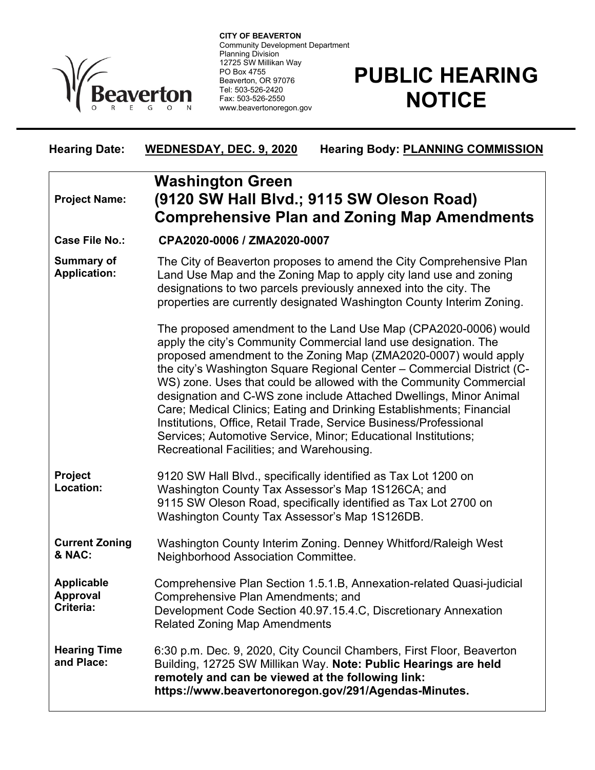

**CITY OF BEAVERTON** Community Development Department Planning Division 12725 SW Millikan Way PO Box 4755 Beaverton, OR 97076 Tel: 503-526-2420 Fax: 503-526-2550 www.beavertonoregon.gov

## **PUBLIC HEARING NOTICE**

| <b>Hearing Date:</b>                              | WEDNESDAY, DEC. 9, 2020<br><b>Hearing Body: PLANNING COMMISSION</b>                                                                                                                                                                                                                                                                                                                                                                                                                                                                                                                                                                                                                     |
|---------------------------------------------------|-----------------------------------------------------------------------------------------------------------------------------------------------------------------------------------------------------------------------------------------------------------------------------------------------------------------------------------------------------------------------------------------------------------------------------------------------------------------------------------------------------------------------------------------------------------------------------------------------------------------------------------------------------------------------------------------|
| <b>Project Name:</b>                              | <b>Washington Green</b><br>(9120 SW Hall Blvd.; 9115 SW Oleson Road)<br><b>Comprehensive Plan and Zoning Map Amendments</b>                                                                                                                                                                                                                                                                                                                                                                                                                                                                                                                                                             |
| <b>Case File No.:</b>                             | CPA2020-0006 / ZMA2020-0007                                                                                                                                                                                                                                                                                                                                                                                                                                                                                                                                                                                                                                                             |
| <b>Summary of</b><br><b>Application:</b>          | The City of Beaverton proposes to amend the City Comprehensive Plan<br>Land Use Map and the Zoning Map to apply city land use and zoning<br>designations to two parcels previously annexed into the city. The<br>properties are currently designated Washington County Interim Zoning.                                                                                                                                                                                                                                                                                                                                                                                                  |
|                                                   | The proposed amendment to the Land Use Map (CPA2020-0006) would<br>apply the city's Community Commercial land use designation. The<br>proposed amendment to the Zoning Map (ZMA2020-0007) would apply<br>the city's Washington Square Regional Center - Commercial District (C-<br>WS) zone. Uses that could be allowed with the Community Commercial<br>designation and C-WS zone include Attached Dwellings, Minor Animal<br>Care; Medical Clinics; Eating and Drinking Establishments; Financial<br>Institutions, Office, Retail Trade, Service Business/Professional<br>Services; Automotive Service, Minor; Educational Institutions;<br>Recreational Facilities; and Warehousing. |
| Project<br>Location:                              | 9120 SW Hall Blvd., specifically identified as Tax Lot 1200 on<br>Washington County Tax Assessor's Map 1S126CA; and<br>9115 SW Oleson Road, specifically identified as Tax Lot 2700 on<br>Washington County Tax Assessor's Map 1S126DB.                                                                                                                                                                                                                                                                                                                                                                                                                                                 |
| <b>Current Zoning</b><br>& NAC:                   | Washington County Interim Zoning. Denney Whitford/Raleigh West<br>Neighborhood Association Committee.                                                                                                                                                                                                                                                                                                                                                                                                                                                                                                                                                                                   |
| <b>Applicable</b><br><b>Approval</b><br>Criteria: | Comprehensive Plan Section 1.5.1.B, Annexation-related Quasi-judicial<br>Comprehensive Plan Amendments; and<br>Development Code Section 40.97.15.4.C, Discretionary Annexation<br><b>Related Zoning Map Amendments</b>                                                                                                                                                                                                                                                                                                                                                                                                                                                                  |
| <b>Hearing Time</b><br>and Place:                 | 6:30 p.m. Dec. 9, 2020, City Council Chambers, First Floor, Beaverton<br>Building, 12725 SW Millikan Way. Note: Public Hearings are held<br>remotely and can be viewed at the following link:<br>https://www.beavertonoregon.gov/291/Agendas-Minutes.                                                                                                                                                                                                                                                                                                                                                                                                                                   |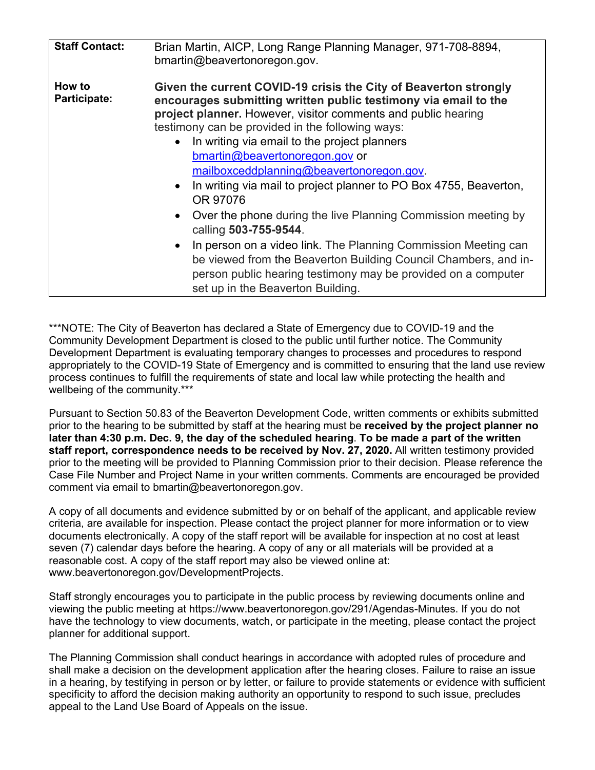| <b>Staff Contact:</b>  | Brian Martin, AICP, Long Range Planning Manager, 971-708-8894,<br>bmartin@beavertonoregon.gov.                                                                                                                                                                                                                                                                                                                                                                                                                                                                                                                                                                                                                                                                                                                                                                   |
|------------------------|------------------------------------------------------------------------------------------------------------------------------------------------------------------------------------------------------------------------------------------------------------------------------------------------------------------------------------------------------------------------------------------------------------------------------------------------------------------------------------------------------------------------------------------------------------------------------------------------------------------------------------------------------------------------------------------------------------------------------------------------------------------------------------------------------------------------------------------------------------------|
| How to<br>Participate: | Given the current COVID-19 crisis the City of Beaverton strongly<br>encourages submitting written public testimony via email to the<br>project planner. However, visitor comments and public hearing<br>testimony can be provided in the following ways:<br>In writing via email to the project planners<br>$\bullet$<br>bmartin@beavertonoregon.gov or<br>mailboxceddplanning@beavertonoregon.gov.<br>In writing via mail to project planner to PO Box 4755, Beaverton,<br>$\bullet$<br>OR 97076<br>Over the phone during the live Planning Commission meeting by<br>$\bullet$<br>calling 503-755-9544.<br>In person on a video link. The Planning Commission Meeting can<br>$\bullet$<br>be viewed from the Beaverton Building Council Chambers, and in-<br>person public hearing testimony may be provided on a computer<br>set up in the Beaverton Building. |

\*\*\*NOTE: The City of Beaverton has declared a State of Emergency due to COVID-19 and the Community Development Department is closed to the public until further notice. The Community Development Department is evaluating temporary changes to processes and procedures to respond appropriately to the COVID-19 State of Emergency and is committed to ensuring that the land use review process continues to fulfill the requirements of state and local law while protecting the health and wellbeing of the community.\*\*\*

Pursuant to Section 50.83 of the Beaverton Development Code, written comments or exhibits submitted prior to the hearing to be submitted by staff at the hearing must be **received by the project planner no later than 4:30 p.m. Dec. 9, the day of the scheduled hearing**. **To be made a part of the written staff report, correspondence needs to be received by Nov. 27, 2020.** All written testimony provided prior to the meeting will be provided to Planning Commission prior to their decision. Please reference the Case File Number and Project Name in your written comments. Comments are encouraged be provided comment via email to bmartin@beavertonoregon.gov.

A copy of all documents and evidence submitted by or on behalf of the applicant, and applicable review criteria, are available for inspection. Please contact the project planner for more information or to view documents electronically. A copy of the staff report will be available for inspection at no cost at least seven (7) calendar days before the hearing. A copy of any or all materials will be provided at a reasonable cost. A copy of the staff report may also be viewed online at: www.beavertonoregon.gov/DevelopmentProjects.

Staff strongly encourages you to participate in the public process by reviewing documents online and viewing the public meeting at https://www.beavertonoregon.gov/291/Agendas-Minutes. If you do not have the technology to view documents, watch, or participate in the meeting, please contact the project planner for additional support.

The Planning Commission shall conduct hearings in accordance with adopted rules of procedure and shall make a decision on the development application after the hearing closes. Failure to raise an issue in a hearing, by testifying in person or by letter, or failure to provide statements or evidence with sufficient specificity to afford the decision making authority an opportunity to respond to such issue, precludes appeal to the Land Use Board of Appeals on the issue.